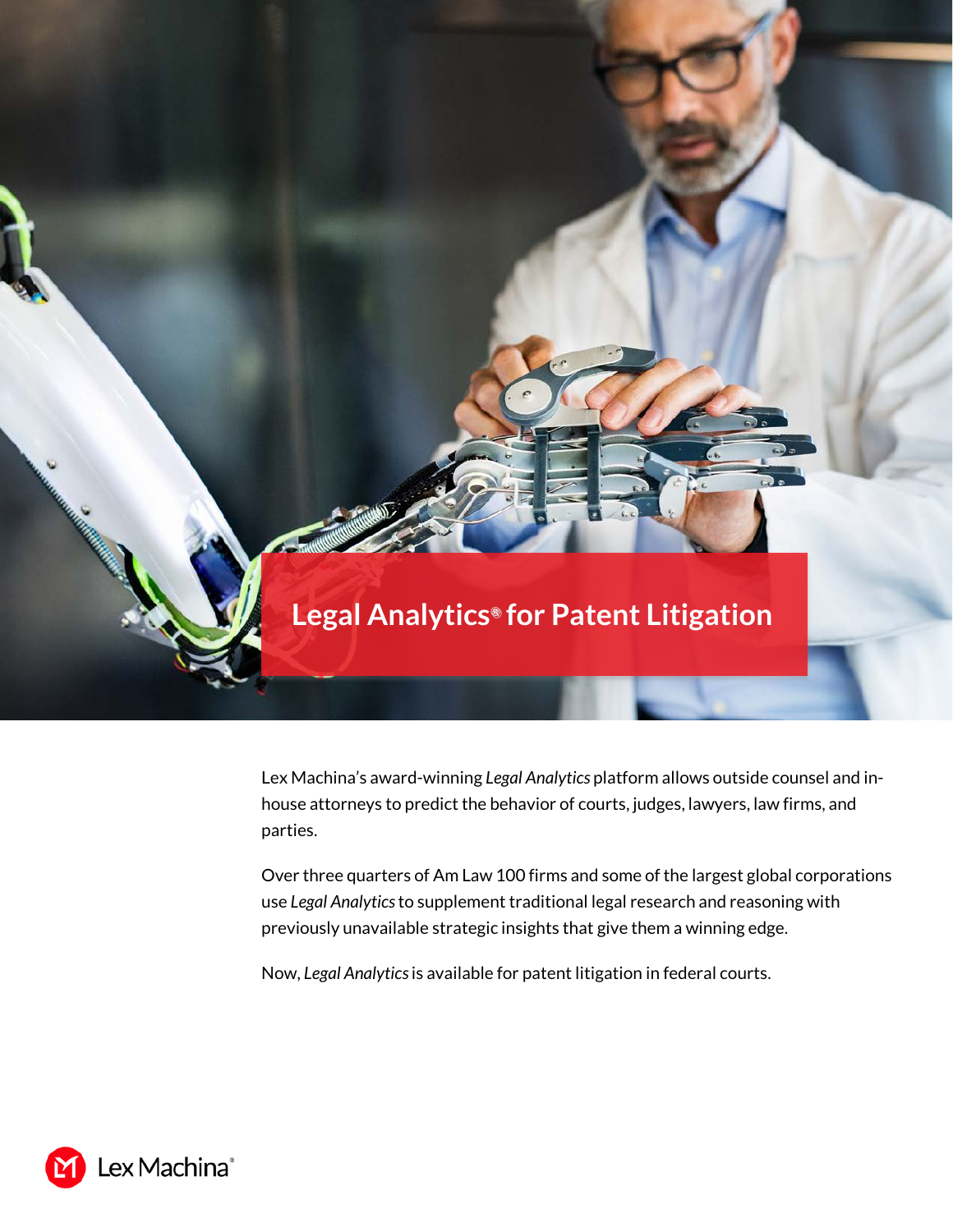

Lex Machina's award-winning *Legal Analytics* platform allows outside counsel and inhouse attorneys to predict the behavior of courts, judges, lawyers, law firms, and parties.

Over three quarters of Am Law 100 firms and some of the largest global corporations use *Legal Analytics* to supplement traditional legal research and reasoning with previously unavailable strategic insights that give them a winning edge.

Now, *Legal Analytics*is available for patent litigation in federal courts.